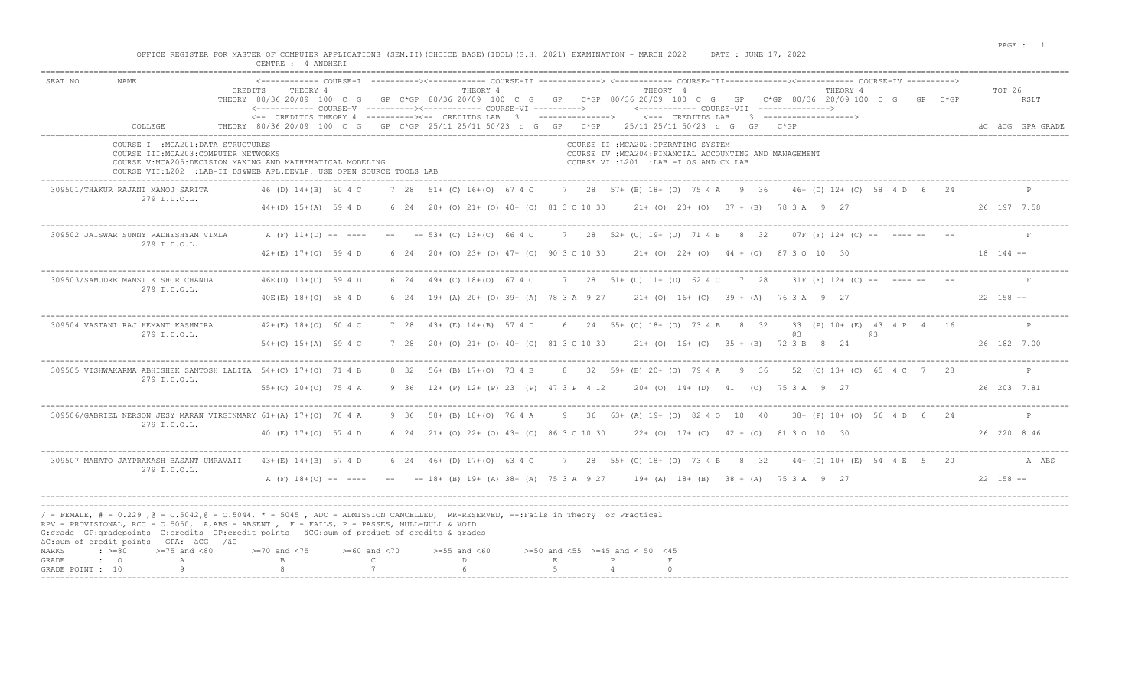|                                                                             | CENTRE : 4 ANDHERT                                                                                                                   |          | OFFICE REGISTER FOR MASTER OF COMPUTER APPLICATIONS (SEM.II)(CHOICE BASE)(IDOL)(S.H. 2021) EXAMINATION - MARCH 2022 DATE: JUNE 17, 2022                                                                                                                                                                            |                    |                                    |
|-----------------------------------------------------------------------------|--------------------------------------------------------------------------------------------------------------------------------------|----------|--------------------------------------------------------------------------------------------------------------------------------------------------------------------------------------------------------------------------------------------------------------------------------------------------------------------|--------------------|------------------------------------|
| NAME.<br>SEAT NO<br>COLLEGE                                                 | THEORY 4<br>CREDITS<br>THEORY 80/36 20/09 100 C G                                                                                    | THEORY 4 | THEORY 4<br>GP C*GP 80/36 20/09 100 C G GP C*GP 80/36 20/09 100 C G GP C*GP 80/36 20/09 100 C G GP<br><-- CREDITDS THEORY 4 ----------><-- CREDITDS LAB 3 --------------> <--- CREDITDS LAB 3 -----------------><br>THEORY 80/36 20/09 100 C G GP C*GP 25/11 25/11 50/23 c G GP C*GP 25/11 25/11 50/23 c G GP C*GP | THEORY 4<br>$C*GP$ | TOT 26<br>RSLT<br>AC ACG GPA GRADE |
| COURSE I : MCA201: DATA STRUCTURES<br>COURSE III: MCA203: COMPUTER NETWORKS | COURSE V: MCA205: DECISION MAKING AND MATHEMATICAL MODELING<br>COURSE VII: L202 : LAB-II DS&WEB APL DEVLP, USE OPEN SOURCE TOOLS LAB |          | COURSE II : MCA202: OPERATING SYSTEM<br>COURSE IV : MCA204: FINANCIAL ACCOUNTING AND MANAGEMENT<br>COURSE VI : L201 : LAB - I OS AND CN LAB                                                                                                                                                                        |                    |                                    |
| 309501/THAKUR RAJANI MANOJ SARITA<br>279 I.D.O.L.                           |                                                                                                                                      |          | 46 (D) 14+(B) 60 4 C 7 28 51+ (C) 16+(O) 67 4 C 7 28 57+ (B) 18+ (O) 75 4 A 9 36 46+ (D) 12+ (C) 58 4 D 6 24<br>44+(D) 15+(A) 59 4 D 6 24 20 + (O) 21 + (O) 40 + (O) 81 3 0 10 30 21 + (O) 20 + (O) 37 + (B) 78 3 A 9 27                                                                                           |                    | 26 197 7.58                        |
| 309502 JAISWAR SUNNY RADHESHYAM VIMLA<br>279 I.D.O.L.                       |                                                                                                                                      |          | A (F) 11+(D) -- ---- -- -- 53+ (C) 13+(C) 66 4 C 7 28 52+ (C) 19+ (O) 71 4 B 8 32 07F (F) 12+ (C) -- ---- -- --<br>$42+(E)$ 17+(0) 59 4 D 6 24 20+ (0) 23+ (0) 47+ (0) 90 3 0 10 30 21+ (0) 22+ (0) 44 + (0) 87 3 0 10 30                                                                                          |                    | $18$ 144 $-$                       |
| 309503/SAMUDRE MANSI KISHOR CHANDA<br>279 I.D.O.L.                          | 46E(D) 13+(C) 59 4 D                                                                                                                 |          | 6 24 49+ (C) 18+ (O) 67 4 C 7 28 51+ (C) 11+ (D) 62 4 C 7 28 31F (F) 12+ (C) -- ---- -- --<br>40E(E) 18+(O) 58 4 D 6 24 19+ (A) 20+ (O) 39+ (A) 78 3 A 9 27 21+ (O) 16+ (C) 39 + (A) 76 3 A 9 27                                                                                                                   |                    | $22 \quad 158$ --                  |

| 309504 VASTANI RAJ HEMANT KASHMIRA<br>279 I.D.O.L.                                                                                                                        |  | 42+(E) 18+(O) 60 4 C 7 28 43+ (E) 14+(B) 57 4 D 6 24 55+ (C) 18+ (O) 73 4 B 8 32                        |  |  |  |  |  | -63 | 33 (P) 10 + (E) 43 4 P 4 16 |                   |       |
|---------------------------------------------------------------------------------------------------------------------------------------------------------------------------|--|---------------------------------------------------------------------------------------------------------|--|--|--|--|--|-----|-----------------------------|-------------------|-------|
|                                                                                                                                                                           |  | 54+(C) 15+(A) 69 4 C 7 28 20+ (O) 21+ (O) 40+ (O) 81 3 0 10 30 21+ (O) 16+ (C) 35 + (B) 72 3 B 8 24     |  |  |  |  |  |     |                             | 26 182 7.00       |       |
| 309505 VISHWAKARMA ABHISHEK SANTOSH LALITA 54+(C) 17+(0) 71 4 B 8 32 56+ (B) 17+(0) 73 4 B 8 32 59+ (B) 20+ (0) 79 4 A 9 36 52 (C) 13+ (C) 65 4 C 7 28<br>279 I.D.O.L.    |  |                                                                                                         |  |  |  |  |  |     |                             |                   |       |
|                                                                                                                                                                           |  | 55+(C) 20+(O) 75 4 A 9 36 12+ (P) 12+ (P) 23 (P) 47 3 P 4 12 20+ (O) 14+ (D) 41 (O) 75 3 A 9 27         |  |  |  |  |  |     |                             | 26 203 7.81       |       |
| 309506/GABRIEL NERSON JESY MARAN VIRGINMARY 61+(A) 17+(O) 78 4 A 9 36 58+ (B) 18+(O) 76 4 A 9 36 63+ (A) 19+ (O) 82 4 O 10 40 38+ (P) 18+ (O) 56 4 D 6 24<br>279 I.D.O.L. |  |                                                                                                         |  |  |  |  |  |     |                             |                   |       |
|                                                                                                                                                                           |  | 40 (E) 17+ (O) 57 4 D 6 24 21+ (O) 22+ (O) 43+ (O) 86 3 0 10 30 22+ (O) 17+ (C) 42 + (O) 81 3 0 10 30   |  |  |  |  |  |     |                             | 26 220 8.46       |       |
| 309507 MAHATO JAYPRAKASH BASANT UMRAVATI<br>279 I.D.O.L.                                                                                                                  |  | 43+(E) 14+(B) 57 4 D 6 24 46+(D) 17+(O) 63 4 C 7 28 55+(C) 18+(O) 73 4 B 8 32 44+(D) 10+(E) 54 4 E 5 20 |  |  |  |  |  |     |                             |                   | A ABS |
|                                                                                                                                                                           |  | A (F) 18+(O) -- ---- -- -- 18+ (B) 19+ (A) 38+ (A) 75 3 A 9 27 19+ (A) 18+ (B) 38 + (A) 75 3 A 9 27     |  |  |  |  |  |     |                             | $22 \quad 158$ -- |       |

-----------------------------------------------------------------------------------------------------------------------------------------------------------------------------------------------------------------------

| / - FEMALE, # - 0.229, @ - 0.5042, @ - 0.5044, * - 5045, ADC - ADMISSION CANCELLED, RR-RESERVED, --:Fails in Theory or Practical |  |                                                                                            |  |  |  |
|----------------------------------------------------------------------------------------------------------------------------------|--|--------------------------------------------------------------------------------------------|--|--|--|
| RPV - PROVISIONAL, RCC - 0.5050, A,ABS - ABSENT , F - FAILS, P - PASSES, NULL-NULL & VOID                                        |  |                                                                                            |  |  |  |
| G:grade GP:gradepoints C:credits CP:credit points äCG:sum of product of credits & grades                                         |  |                                                                                            |  |  |  |
| äC:sum of credit points GPA: äCG /äC                                                                                             |  |                                                                                            |  |  |  |
| MARKS : $> = 80$ $> = 75$ and $< 80$                                                                                             |  | $>=70$ and $<75$ $>=60$ and $<70$ $>=55$ and $<60$ $>=50$ and $<55$ $>=45$ and $<50$ $<45$ |  |  |  |
| GRADE : O                                                                                                                        |  |                                                                                            |  |  |  |
| GRADE POINT : 10                                                                                                                 |  |                                                                                            |  |  |  |
|                                                                                                                                  |  |                                                                                            |  |  |  |